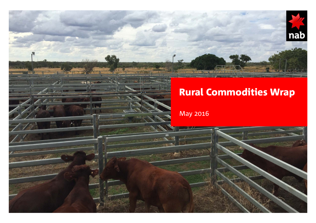# Rural Commodities Wrap

nab

May 2016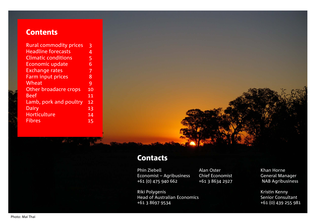## **Contents**

| <b>Rural commodity prices</b> | 3               |
|-------------------------------|-----------------|
| <b>Headline forecasts</b>     | 4               |
| <b>Climatic conditions</b>    | 5               |
| <b>Economic update</b>        | 6               |
| <b>Exchange rates</b>         | 7               |
| <b>Farm input prices</b>      | 8               |
| Wheat                         | 9               |
| Other broadacre crops         | $\overline{1}0$ |
| <b>Beef</b>                   | 11              |
| Lamb, pork and poultry        | 12              |
| Dairy                         | 13              |
| <b>Horticulture</b>           | 14              |
| <b>Fibres</b>                 | 15              |



## **Contacts**

Phin Ziebell **Alan Oster** Khan Horne Economist – Agribusiness Chief Economist Conomist General Manager<br>
+61 (0) 475 940 662 +61 3 8634 2927 NAB Agribusiness  $+61$  (0) 475 940 662  $+61$  3 8634 2927

Head of Australian Economics

Riki Polygenis<br>
Head of Australian Economics<br>
Head of Australian Economics<br>
Head of Australian Economics +61 3 8697 9534 +61 (0) 439 255 981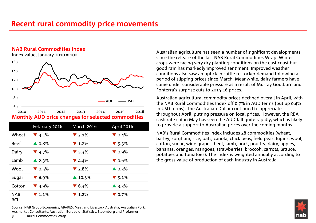## **Recent rural commodity price movements**

## **NAB Rural Commodities Index**

Index value, January 2010 = 100



|                          | February 2016             | <b>March 2016</b>         | <b>April 2016</b>         |
|--------------------------|---------------------------|---------------------------|---------------------------|
| Wheat                    | $\blacktriangledown$ 3.1% | $\blacktriangledown$ 3.1% | $\nabla$ 0.4%             |
| <b>Beef</b>              | $\triangle$ 0.8%          | $\blacktriangledown$ 1.2% | $\blacktriangledown$ 5.5% |
| Dairy                    | $\blacktriangledown$ 9.7% | $\blacktriangledown$ 5.3% | $\nabla$ 0.9%             |
| Lamb                     | $\triangle$ 2.3%          | $\blacktriangledown$ 4.4% | $\blacktriangledown$ 0.6% |
| Wool                     | $\blacktriangledown$ 0.5% | $\blacktriangledown$ 2.8% | $\triangle$ 0.3%          |
| Sugar                    | $\blacktriangledown$ 8.9% | $\triangle$ 10.5%         | $\blacktriangledown$ 5.1% |
| Cotton                   | $\blacktriangledown$ 4.9% | $\blacktriangledown$ 6.3% | $\triangle$ 3.3%          |
| <b>NAB</b><br><b>RCI</b> | $\blacktriangledown$ 1.1% | $\blacktriangledown$ 1.2% | $\blacktriangledown$ 0.7% |

Source: NAB Group Economics, ABARES, Meat and Livestock Australia, Australian Pork, Ausmarket Consultants, Australian Bureau of Statistics, Bloomberg and Profarmer.

Australian agriculture has seen a number of significant developments since the release of the last NAB Rural Commodities Wrap. Winter crops were facing very dry planting conditions on the east coast but good rain has markedly improved sentiment. Improved weather conditions also saw an uptick in cattle restocker demand following a period of slipping prices since March. Meanwhile, dairy farmers have come under considerable pressure as a result of Murray Goulburn and Fonterra's surprise cuts to 2015-16 prices.

Australian agricultural commodity prices declined overall in April, with the NAB Rural Commodities Index off 0.7% in AUD terms (but up 0.4% in USD terms). The Australian Dollar continued to appreciate throughout April, putting pressure on local prices. However, the RBA cash rate cut in May has seen the AUD fall quite rapidly, which is likely to provide a support to Australian prices over the coming months.

NAB's Rural Commodities Index includes 28 commodities (wheat, barley, sorghum, rice, oats, canola, chick peas, field peas, lupins, wool, cotton, sugar, wine grapes, beef, lamb, pork, poultry, dairy, apples, bananas, oranges, mangoes, strawberries, broccoli, carrots, lettuce, potatoes and tomatoes). The index is weighted annually according to the gross value of production of each industry in Australia.

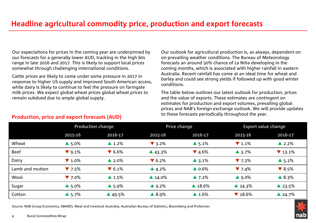Our expectations for prices in the coming year are underpinned by our forecasts for a generally lower AUD, tracking in the high 60s range in late 2016 and 2017. This is likely to support local prices somewhat through challenging international conditions.

Cattle prices are likely to come under some pressure in 2017 in response to higher US supply and improved South American access, while dairy is likely to continue to feel the pressure on farmgate milk prices. We expect global wheat prices global wheat prices to remain subdued due to ample global supply.

**Production, price and export forecasts (AUD)**

Our outlook for agricultural production is, as always, dependent on on prevailing weather conditions. The Bureau of Meteorology forecasts an around 50% chance of La Niña developing in the coming months, which is associated with higher rainfall in eastern Australia. Recent rainfall has come at an ideal time for wheat and barley and could see strong yields if followed up with good winter conditions.

The table below outlines our latest outlook for production, prices and the value of exports. These estimates are contingent on estimates for production and export volumes, prevailing global prices and NAB's foreign exchange outlook. We will provide updates to these forecasts periodically throughout the year.

|                 | Production change         |                           | Price change              |                           | Export value change        |                            |
|-----------------|---------------------------|---------------------------|---------------------------|---------------------------|----------------------------|----------------------------|
|                 | 2015-16                   | 2016-17                   | 2015-16                   | 2016-17                   | 2015-16                    | 2016-17                    |
| Wheat           | $\triangle$ 5.0%          | $\blacktriangle$ 1.2%     | $\blacktriangledown$ 3.2% | $\triangle$ 5.1%          | $\blacktriangledown$ 1.1%  | $\triangle$ 2.2%           |
| <b>Beef</b>     | $\blacktriangledown$ 9.1% | $\blacktriangledown$ 6.6% | $\triangle$ 43.3%         | $\blacktriangledown$ 4.6% | $\triangle$ 3.7%           | $\blacktriangledown$ 13.1% |
| Dairy           | $\blacktriangledown$ 1.0% | $\triangle$ 2.0%          | $\blacktriangledown$ 6.2% | $\triangle$ 3.1%          | $\blacktriangledown$ 7.2%  | $\triangle$ 5.1%           |
| Lamb and mutton | $\blacktriangledown$ 7.5% | $\blacktriangledown$ 6.1% | $\triangle$ 4.2%          | $\triangle$ 0.6%          | $\blacktriangledown$ 7.4%  | $\blacktriangledown 8.5\%$ |
| Wool            | $\blacktriangledown$ 7.0% | $\blacktriangle$ 1.5%     | $\triangle$ 14.0%         | $\triangle$ 7.2%          | $\triangle$ 9.0%           | $\triangle$ 8.3%           |
| Sugar           | $\triangle$ 5.0%          | $\triangle$ 5.9%          | $\triangle$ 9.2%          | $\triangle$ 18.6%         | $\triangle$ 14.3%          | $\triangle$ 23.5%          |
| Cotton          | $\triangle$ 5.7%          | $\triangle$ 49.5%         | $\triangle$ 8.9%          | $\blacktriangle$ 1.6%     | $\blacktriangledown$ 18.6% | $\triangle$ 24.7%          |

Source: NAB Group Economics, ABARES, Meat and Livestock Australia, Australian Bureau of Statistics, Bloomberg and Profarmer.

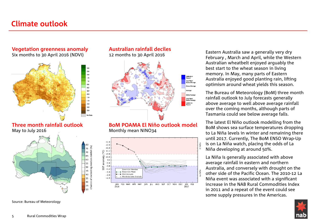## **Climate outlook**

## **Vegetation greenness anomaly** Six months to 30 April 2016 (NDVI)



**Three month rainfall outlook** May to July 2016



ainfall (%)

Chance of exceeding median

70 65

60

55

50

45

40

35

30<br>25

20

Source: Bureau of Meteorology

## **Australian rainfall deciles** 12 months to 30 April 2016



**BoM POAMA El Niño outlook model** Monthly mean NINO34



Eastern Australia saw a generally very dry February , March and April, while the Western Australian wheatbelt enjoyed arguably the best start to the wheat season in living memory. In May, many parts of Eastern Australia enjoyed good planting rain, lifting optimism around wheat yields this season.

The Bureau of Meteorology (BoM) three month rainfall outlook to July forecasts generally above average to well above average rainfall over the coming months, although parts of Tasmania could see below average falls.

The latest El Niño outlook modelling from the BoM shows sea surface temperatures dropping to La Niña levels in winter and remaining there until 2017. Currently, The BoM ENSO Wrap-Up is on La Niña watch, placing the odds of La Niña developing at around 50%.

La Niña is generally associated with above average rainfall in eastern and northern Australia, and conversely with drought on the other side of the Pacific Ocean. The 2010-12 La Niña event was associated with a significant increase in the NAB Rural Commodities Index in 2011 and a repeat of the event could see some supply pressures in the Americas.

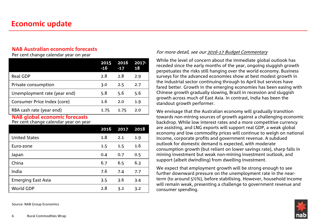## **NAB Australian economic forecasts**

Per cent change calendar year on year

|                              | 2015<br>$-16$ | 2016 | $2017 -$<br>18 |
|------------------------------|---------------|------|----------------|
| <b>Real GDP</b>              | 2.8           | 2.8  | 2.9            |
| Private consumption          | 3.0           | 2.5  | 2.7            |
| Unemployment rate (year end) | 5.8           | 5.6  | 5.6            |
| Consumer Price Index (core)  | 1.6           | 2.0  | 1.9            |
| RBA cash rate (year end)     | 1.75          | 1.75 | 2.0            |

### **NAB global economic forecasts** Per cent change calendar year on year

|                           | 2016 | 2017 | 2018 |
|---------------------------|------|------|------|
| <b>United States</b>      | 1.8  | 2.1  | 1.9  |
| Euro-zone                 | 1.5  | 1.5  | 1.6  |
| Japan                     | 0.4  | 0.7  | 0.5  |
| China                     | 6.7  | 6.5  | 6.3  |
| India                     | 7.6  | 7.4  | 7.7  |
| <b>Emerging East Asia</b> | 3.5  | 3.6  | 3.4  |
| World GDP                 | 2.8  | 3.2  | 3.2  |

Source: NAB Group Economics

### For more detail, see our [2016-17 Budget Commentary](http://business.nab.com.au/wp-content/uploads/2016/05/NAB-Budget-Commentary-2016-17.pdf)

While the level of concern about the immediate global outlook has receded since the early months of the year, ongoing sluggish growth perpetuates the risks still hanging over the world economy. Business surveys for the advanced economies show at best modest growth in the industrial sector continuing through to April but services have fared better. Growth in the emerging economies has been easing with Chinese growth gradually slowing, Brazil in recession and sluggish growth across much of East Asia. In contrast, India has been the standout growth performer.

We envisage that the Australian economy will gradually transition towards non-mining sources of growth against a challenging economic backdrop. While low interest rates and a more competitive currency are assisting, and LNG exports will support real GDP, a weak global economy and low commodity prices will continue to weigh on national income, corporate profits and government revenue. A subdued outlook for domestic demand is expected, with moderate consumption growth (but reliant on lower savings rate), sharp falls in mining investment but weak non-mining investment outlook, and support (albeit dwindling) from dwelling investment.

We expect that employment growth will be strong enough to see further downward pressure on the unemployment rate in the nearterm (to around 5½%), before stabilising. However, household income will remain weak, presenting a challenge to government revenue and consumer spending.

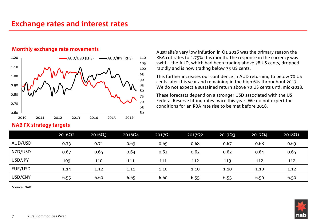## **Exchange rates and interest rates**

### **Monthly exchange rate movements**



### **NAB FX strategy targets**

Australia's very low inflation in Q1 2016 was the primary reason the RBA cut rates to 1.75% this month. The response in the currency was swift – the AUD, which had been trading above 78 US cents, dropped rapidly and is now trading below 73 US cents.

This further increases our confidence in AUD returning to below 70 US cents later this year and remaining in the high 60s throughout 2017. We do not expect a sustained return above 70 US cents until mid-2018.

These forecasts depend on a stronger USD associated with the US Federal Reserve lifting rates twice this year. We do not expect the conditions for an RBA rate rise to be met before 2018.

|         | 2016Q2 | 2016Q3 | 2016Q4 | 2017Q1 | 2017Q2 | 2017Q3 | 2017Q4 | 2018Q1 |
|---------|--------|--------|--------|--------|--------|--------|--------|--------|
| AUD/USD | 0.73   | 0.71   | 0.69   | 0.69   | 0.68   | 0.67   | 0.68   | 0.69   |
| NZD/USD | 0.67   | 0.65   | 0.63   | 0.62   | 0.62   | 0.62   | 0.64   | 0.65   |
| USD/JPY | 109    | 110    | 111    | 111    | 112    | 113    | 112    | 112    |
| EUR/USD | 1.14   | 1.12   | 1.11   | 1.10   | 1.10   | 1.10   | 1.10   | 1.12   |
| USD/CNY | 6.55   | 6.60   | 6.65   | 6.60   | 6.55   | 6.55   | 6.50   | 6.50   |

Source: NAB

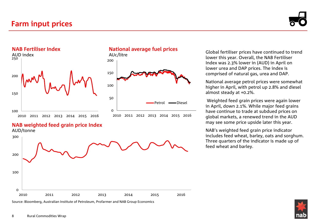



### **National average fuel prices**



**NAB weighted feed grain price Index** AUD/tonne



Source: Bloomberg, Australian Institute of Petroleum, Profarmer and NAB Group Economics

Global fertiliser prices have continued to trend lower this year. Overall, the NAB Fertiliser Index was 2.3% lower in (AUD) in April on lower urea and DAP prices. The index is comprised of natural gas, urea and DAP.

National average petrol prices were somewhat higher in April, with petrol up 2.8% and diesel almost steady at +0.2%.

Weighted feed grain prices were again lower in April, down 2.1%. While major feed grains have continue to trade at subdued prices on global markets, a renewed trend in the AUD may see some price upside later this year.

NAB's weighted feed grain price indicator includes feed wheat, barley, oats and sorghum. Three quarters of the indicator is made up of feed wheat and barley.

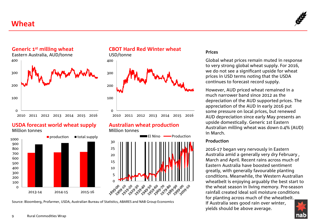## **Wheat**





### **USDA forecast world wheat supply** Million tonnes



### **CBOT Hard Red Winter wheat**



### **Australian wheat production** Million tonnes



Source: Bloomberg, Profarmer, USDA, Australian Bureau of Statistics, ABARES and NAB Group Economics

### **Prices**

Global wheat prices remain muted in response to very strong global wheat supply. For 2016, we do not see a significant upside for wheat prices in USD terms noting that the USDA continues to forecast record supply.

However, AUD priced wheat remained in a much narrower band since 2012 as the depreciation of the AUD supported prices. The appreciation of the AUD in early 2016 put some pressure on local prices, but renewed AUD depreciation since early May presents an upside domestically. Generic 1st Eastern Australian milling wheat was down 0.4% (AUD) in March.

### **Production**

2016-17 began very nervously in Eastern Australia amid a generally very dry February , March and April. Recent rains across much of Eastern Australia have boosted sentiment greatly, with generally favourable planting conditions. Meanwhile, the Western Australian wheatbelt is enjoying arguably the best start to the wheat season in living memory. Pre-season rainfall created ideal soil moisture conditions for planting across much of the wheatbelt. If Australia sees good rain over winter, yields should be above average.

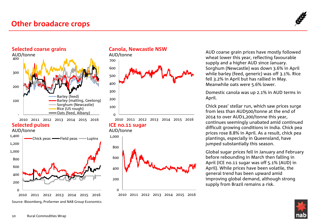## **Other broadacre crops**







AUD/tonne



**Canola, Newcastle NSW**

AUD/tonne



**ICE no.11 sugar**



AUD coarse grain prices have mostly followed wheat lower this year, reflecting favourable supply and a higher AUD since January. Sorghum (Newcastle) was down 3.6% in April while barley (feed, generic) was off 3.1%. Rice fell 3.2% in April but has rallied in May. Meanwhile oats were 5.6% lower.

Domestic canola was up 2.1% in AUD terms in April.

Chick peas' stellar run, which saw prices surge from less than AUD500/tonne at the end of 2014 to over AUD1,200/tonne this year, continues seemingly unabated amid continued difficult growing conditions in India. Chick pea prices rose 8.8% in April. As a result, chick pea plantings, especially in Queensland, have jumped substantially this season.

Global sugar prices fell in January and February before rebounding in March then falling in April (ICE no.11 sugar was off 5.1% (AUD) in April). While prices have been volatile, the general trend has been upward amid improving global demand, although strong supply from Brazil remains a risk.

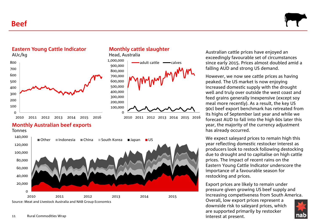**Beef**





**Eastern Young Cattle Indicator**

## **Monthly Australian beef exports**

**Tonnes** 



**Monthly cattle slaughter**

Head, Australia



Australian cattle prices have enjoyed an exceedingly favourable set of circumstances since early 2015. Prices almost doubled amid a falling AUD and strong US demand.

However, we now see cattle prices as having peaked. The US market is now enjoying increased domestic supply with the drought well and truly over outside the west coast and feed grains generally inexpensive (except soy meal more recently). As a result, the key US 90cl beef export benchmark has retreated from its highs of September last year and while we forecast AUD to fall into the high 60s later this year, the majority of the currency adjustment has already occurred.

We expect saleyard prices to remain high this year reflecting domestic restocker interest as producers look to restock following destocking due to drought and to capitalise on high cattle prices. The impact of recent rains on the Eastern Young Cattle Indicator underscore the importance of a favourable season for restocking and prices.

Export prices are likely to remain under pressure given growing US beef supply and increasing competiveness from South America.

Overall, low export prices represent a downside risk to saleyard prices, which are supported primarily by restocker interest at present.

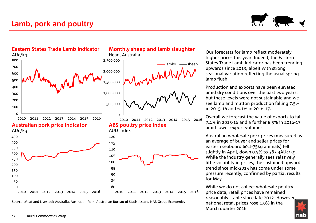



Source: Meat and Livestock Australia, Australian Pork, Australian Bureau of Statistics and NAB Group Economics

Our forecasts for lamb reflect moderately higher prices this year. Indeed, the Eastern States Trade Lamb Indicator has been trending upwards since 2013, albeit with strong seasonal variation reflecting the usual spring lamb flush.

Production and exports have been elevated amid dry conditions over the past two years, but these levels were not sustainable and we see lamb and mutton production falling 7.5% in 2015-16 and 6.1% in 2016-17.

Overall we forecast the value of exports to fall 7.4% in 2015-16 and a further 8.5% in 2016-17 amid lower export volumes.

Australian wholesale pork prices (measured as an average of buyer and seller prices for eastern seaboard 60.1-75kg animals) fell slightly in April, down 0.5% to 387.3AUc/kg. While the industry generally sees relatively little volatility in prices, the sustained upward trend since mid-2015 has come under some pressure recently, confirmed by partial results for May.

While we do not collect wholesale poultry price data, retail prices have remained reasonably stable since late 2012. However, national retail prices rose 1.0% in the March quarter 2016.

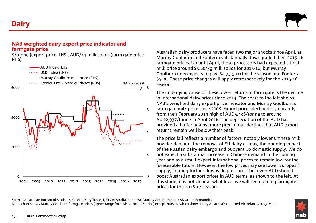**Dairy**



### **NAB weighted dairy export price indicator and farmgate price**

\$/tonne (export price, LHS), AUD/kg milk solids (farm gate price RHS)



Australian dairy producers have faced two major shocks since April, as Murray Goulburn and Fonterra substantially downgraded their 2015-16 farmgate prices. Up until April, these processors had expected a final milk price around \$5.60/kg milk solids for 2015-16, but Murray Goulburn now expects to pay \$4.75-5.00 for the season and Fonterra \$5.00. These price changes will apply retrospectively for the 2015-16 season.

The underlying cause of these lower returns at farm gate is the decline in international dairy prices since 2014. The chart to the left shows NAB's weighted dairy export price indicator and Murray Goulburn's farm gate milk price since 2008. Export prices declined significantly from their February 2014 high of AUD5,436/tonne to around AUD2,937/tonne in April 2016. The depreciation of the AUD has provided a buffer against more precipitous declines, but AUD export returns remain well below their peak.

The price fall reflects a number of factors, notably lower Chinese milk powder demand, the removal of EU dairy quotas, the ongoing impact of the Russian dairy embargo and buoyant US domestic supply. We do not expect a substantial increase in Chinese demand in the coming year and as a result expect international prices to remain low for the foreseeable future. However, the low prices may see lower European supply, limiting further downside pressure. The lower AUD should boost Australian export prices in AUD terms, as shown to the left. At this stage, it is not clear at what level we will see opening farmgate prices for the 2016-17 season.

Source: Australian Bureau of Statistics, Global Dairy Trade, Dairy Australia, Fonterra, Murray Goulburn and NAB Group Economics Note: chart shows Murray Goulburn farmgate prices (upper range for revised 2015-16 price) except 2008-09 which shows Dairy Australia's reported Victorian average value

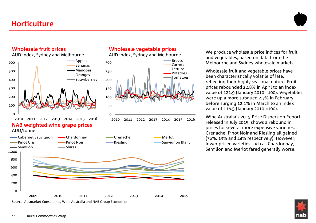

## **Wholesale fruit prices**



Source: Ausmarket Consultants, Wine Australia and NAB Group Economics

## **Wholesale vegetable prices**

AUD index, Sydney and Melbourne



We produce wholesale price indices for fruit and vegetables, based on data from the Melbourne and Sydney wholesale markets.

Wholesale fruit and vegetable prices have been characteristically volatile of late, reflecting their highly seasonal nature. Fruit prices rebounded 22.8% in April to an index value of 121.9 (January 2010 =100). Vegetables were up a more subdued 2.7% in February before surging 12.1% in March to an index value of 116.5 (January 2010 =100).

Wine Australia's 2015 Price Dispersion Report, released in July 2015, shows a rebound in prices for several more expensive varieties. Grenache, Pinot Noir and Riesling all gained (36%, 13% and 24% respectively). However, lower priced varieties such as Chardonnay, Semillon and Merlot fared generally worse.

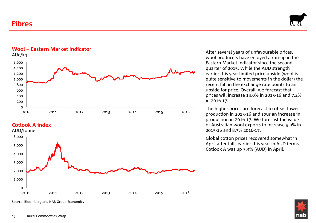## **Fibres**





**Cotlook A index**



After several years of unfavourable prices, wool producers have enjoyed a run-up in the Eastern Market Indicator since the second quarter of 2015. While the AUD strength earlier this year limited price upside (wool is quite sensitive to movements in the dollar) the recent fall in the exchange rate points to an upside for price. Overall, we forecast that prices will increase 14.0% in 2015-16 and 7.2% in 2016-17.

The higher prices are forecast to offset lower production in 2015-16 and spur an increase in production in 2016-17. We forecast the value of Australian wool exports to increase 9.0% in 2015-16 and 8.3% 2016-17.

Global cotton prices recovered somewhat in April after falls earlier this year in AUD terms. Cotlook A was up 3.3% (AUD) in April.

Source: Bloomberg and NAB Group Economics